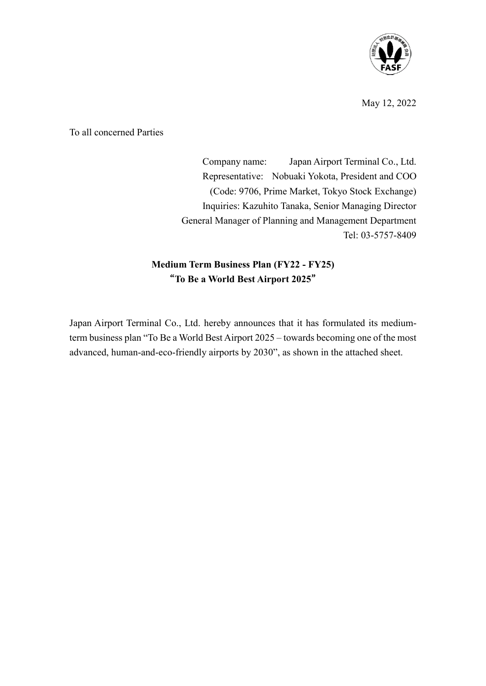

May 12, 2022

To all concerned Parties

Company name: Japan Airport Terminal Co., Ltd. Representative: Nobuaki Yokota, President and COO (Code: 9706, Prime Market, Tokyo Stock Exchange) Inquiries: Kazuhito Tanaka, Senior Managing Director General Manager of Planning and Management Department Tel: 03-5757-8409

### **Medium Term Business Plan (FY22 - FY25)** "**To Be a World Best Airport 2025**"

Japan Airport Terminal Co., Ltd. hereby announces that it has formulated its mediumterm business plan "To Be a World Best Airport 2025 – towards becoming one of the most advanced, human-and-eco-friendly airports by 2030", as shown in the attached sheet.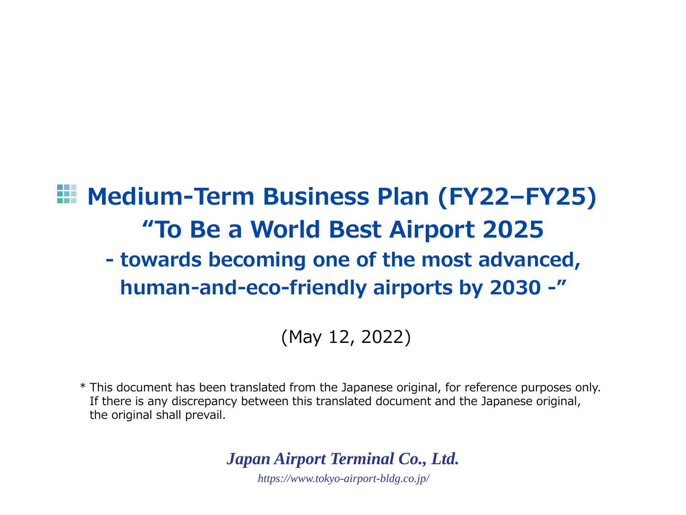# **Medium-Term Business Plan (FY22–FY25) "To Be a World Best Airport 2025 - towards becoming one of the most advanced, human-and-eco-friendly airports by 2030 -"**

(May 12, 2022)

\* This document has been translated from the Japanese original, for reference purposes only. If there is any discrepancy between this translated document and the Japanese original, the original shall prevail.

*Japan Airport Terminal Co., Ltd.*

*https://www.tokyo-airport-bldg.co.jp/*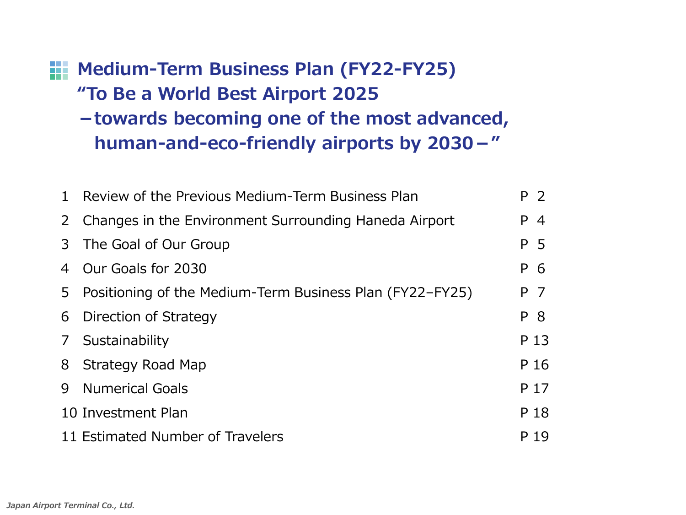# **Medium-Term Business Plan (FY22-FY25) "To Be a World Best Airport 2025 -towards becoming one of the most advanced, human-and-eco-friendly airports by 2030-"**

|                | 1 Review of the Previous Medium-Term Business Plan         | P 2                  |
|----------------|------------------------------------------------------------|----------------------|
|                | 2 Changes in the Environment Surrounding Haneda Airport    | P.<br>$\overline{4}$ |
|                | 3 The Goal of Our Group                                    | P 5                  |
|                | 4 Our Goals for 2030                                       | P 6                  |
|                | 5 Positioning of the Medium-Term Business Plan (FY22–FY25) | P 7                  |
|                | 6 Direction of Strategy                                    | P 8                  |
| 7 <sup>7</sup> | Sustainability                                             | P 13                 |
|                | 8 Strategy Road Map                                        | P 16                 |
| 9              | <b>Numerical Goals</b>                                     | P 17                 |
|                | 10 Investment Plan                                         | P 18                 |
|                | 11 Estimated Number of Travelers                           | P 19                 |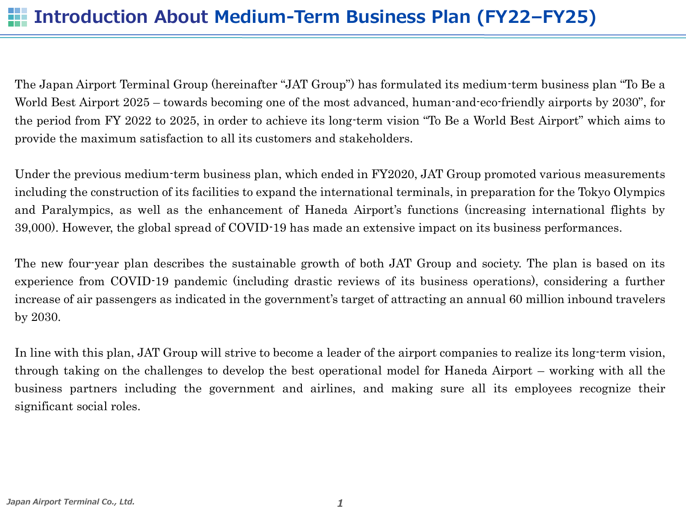The Japan Airport Terminal Group (hereinafter "JAT Group") has formulated its medium-term business plan "To Be a World Best Airport 2025 – towards becoming one of the most advanced, human-and-eco-friendly airports by 2030", for the period from FY 2022 to 2025, in order to achieve its long-term vision "To Be a World Best Airport" which aims to provide the maximum satisfaction to all its customers and stakeholders.

Under the previous medium-term business plan, which ended in FY2020, JAT Group promoted various measurements including the construction of its facilities to expand the international terminals, in preparation for the Tokyo Olympics and Paralympics, as well as the enhancement of Haneda Airport's functions (increasing international flights by 39,000). However, the global spread of COVID-19 has made an extensive impact on its business performances.

The new four-year plan describes the sustainable growth of both JAT Group and society. The plan is based on its experience from COVID-19 pandemic (including drastic reviews of its business operations), considering a further increase of air passengers as indicated in the government's target of attracting an annual 60 million inbound travelers by 2030.

In line with this plan, JAT Group will strive to become a leader of the airport companies to realize its long-term vision, through taking on the challenges to develop the best operational model for Haneda Airport – working with all the business partners including the government and airlines, and making sure all its employees recognize their significant social roles.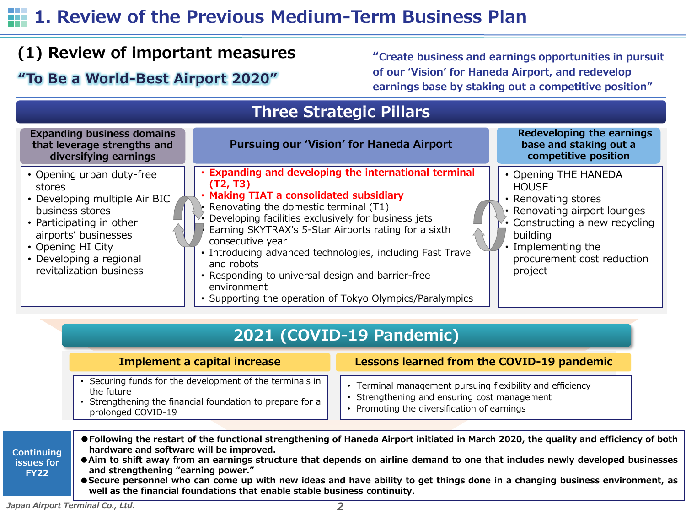## **1. Review of the Previous Medium-Term Business Plan**

## **(1) Review of important measures**

**"Create business and earnings opportunities in pursuit of our 'Vision' for Haneda Airport, and redevelop earnings base by staking out a competitive position" "To Be a World-Best Airport 2020"**

## **Three Strategic Pillars**



## **2021 (COVID-19 Pandemic)**

### **Implement a capital increase <b>Lessons** learned from the COVID-19 pandemic

- Securing funds for the development of the terminals in the future
- Strengthening the financial foundation to prepare for a prolonged COVID-19
- Terminal management pursuing flexibility and efficiency
- Strengthening and ensuring cost management
- Promoting the diversification of earnings
- **Continuing**  ● Following the restart of the functional strengthening of Haneda Airport initiated in March 2020, the quality and efficiency of both **hardware and software will be improved.**
	- Aim to shift away from an earnings structure that depends on airline demand to one that includes newly developed businesses **and strengthening "earning power."**
		- Secure personnel who can come up with new ideas and have ability to get things done in a changing business environment, as **well as the financial foundations that enable stable business continuity.**

**issues for FY22**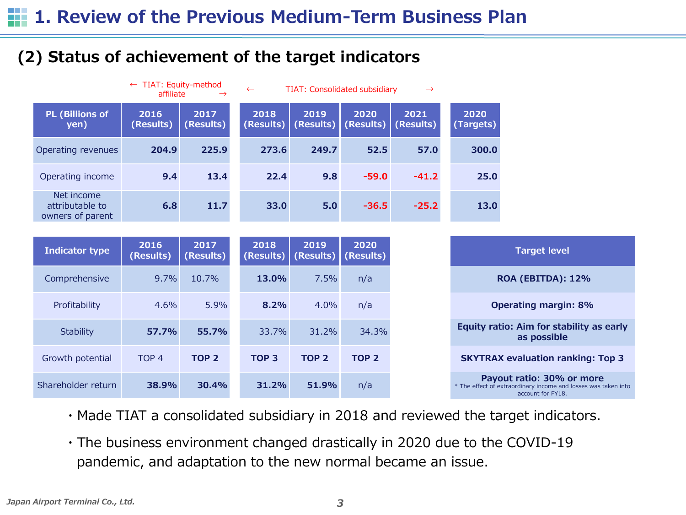## **(2) Status of achievement of the target indicators**

|                                                   | $\leftarrow$ TIAT: Equity-method<br>affiliate | $\rightarrow$     | $\leftarrow$      | <b>TIAT: Consolidated subsidiary</b> |                   | $\rightarrow$     |                   |
|---------------------------------------------------|-----------------------------------------------|-------------------|-------------------|--------------------------------------|-------------------|-------------------|-------------------|
| <b>PL (Billions of</b><br>yen)                    | 2016<br>(Results)                             | 2017<br>(Results) | 2018<br>(Results) | 2019<br>(Results)                    | 2020<br>(Results) | 2021<br>(Results) | 2020<br>(Targets) |
| Operating revenues                                | 204.9                                         | 225.9             | 273.6             | 249.7                                | 52.5              | 57.0              | 300.0             |
| Operating income                                  | 9.4                                           | 13.4              | 22.4              | 9.8                                  | $-59.0$           | $-41.2$           | 25.0              |
| Net income<br>attributable to<br>owners of parent | 6.8                                           | 11.7              | 33.0              | 5.0                                  | $-36.5$           | $-25.2$           | 13.0              |

| Indicator type     | 2016<br>(Results) | 2017<br>(Results) | 2018<br>(Results) | 2019<br>(Results) | 2020<br>(Results) |
|--------------------|-------------------|-------------------|-------------------|-------------------|-------------------|
| Comprehensive      | $9.7\%$           | 10.7%             | 13.0%             | 7.5%              | n/a               |
| Profitability      | 4.6%              | 5.9%              | $8.2\%$           | 4.0%              | n/a               |
| <b>Stability</b>   | 57.7%             | 55.7%             | 33.7%             | 31.2%             | 34.3%             |
| Growth potential   | TOP <sub>4</sub>  | TOP <sub>2</sub>  | TOP <sub>3</sub>  | TOP <sub>2</sub>  | TOP <sub>2</sub>  |
| Shareholder return | 38.9%             | 30.4%             | 31.2%             | 51.9%             | n/a               |

- ・Made TIAT a consolidated subsidiary in 2018 and reviewed the target indicators.
- ・The business environment changed drastically in 2020 due to the COVID-19 pandemic, and adaptation to the new normal became an issue.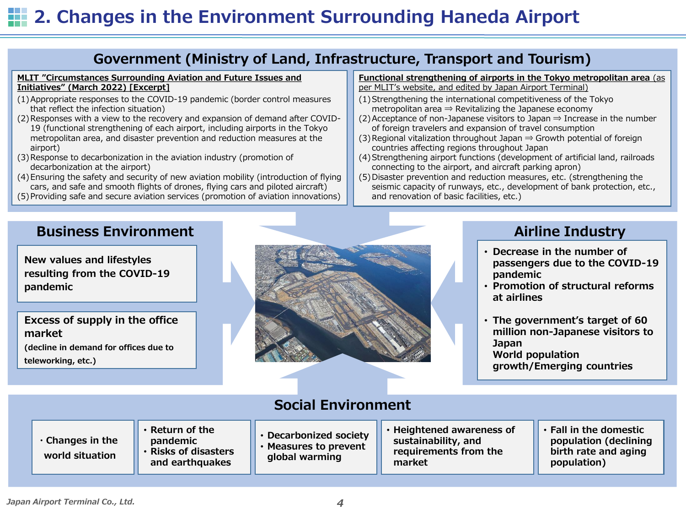## **2. Changes in the Environment Surrounding Haneda Airport**

### **Government (Ministry of Land, Infrastructure, Transport and Tourism)**

#### **MLIT "Circumstances Surrounding Aviation and Future Issues and Initiatives" (March 2022) [Excerpt]**

- (1)Appropriate responses to the COVID-19 pandemic (border control measures that reflect the infection situation)
- (2)Responses with a view to the recovery and expansion of demand after COVID-19 (functional strengthening of each airport, including airports in the Tokyo metropolitan area, and disaster prevention and reduction measures at the airport)
- (3)Response to decarbonization in the aviation industry (promotion of decarbonization at the airport)
- (4)Ensuring the safety and security of new aviation mobility (introduction of flying cars, and safe and smooth flights of drones, flying cars and piloted aircraft)
- (5)Providing safe and secure aviation services (promotion of aviation innovations)

#### **Functional strengthening of airports in the Tokyo metropolitan area** (as per MLIT's website, and edited by Japan Airport Terminal)

- (1)Strengthening the international competitiveness of the Tokyo metropolitan area  $\Rightarrow$  Revitalizing the Japanese economy
- (2) Acceptance of non-Japanese visitors to Japan  $\Rightarrow$  Increase in the number of foreign travelers and expansion of travel consumption
- (3) Regional vitalization throughout Japan  $\Rightarrow$  Growth potential of foreign countries affecting regions throughout Japan
- (4)Strengthening airport functions (development of artificial land, railroads connecting to the airport, and aircraft parking apron)
- (5)Disaster prevention and reduction measures, etc. (strengthening the seismic capacity of runways, etc., development of bank protection, etc., and renovation of basic facilities, etc.)

### **Business Environment**

**New values and lifestyles resulting from the COVID-19 pandemic**

**Excess of supply in the office market**

**(decline in demand for offices due to teleworking, etc.)**



### **Airline Industry**

- **Decrease in the number of passengers due to the COVID-19 pandemic**
- **Promotion of structural reforms at airlines**
- **The government's target of 60 million non-Japanese visitors to Japan World population growth/Emerging countries**

| <b>Social Environment</b>                 |                                                                                   |                                                                             |                                                                                     |                                                                                        |  |  |  |  |  |
|-------------------------------------------|-----------------------------------------------------------------------------------|-----------------------------------------------------------------------------|-------------------------------------------------------------------------------------|----------------------------------------------------------------------------------------|--|--|--|--|--|
| $\cdot$ Changes in the<br>world situation | $\cdot$ Return of the<br>pandemic<br><b>Risks of disasters</b><br>and earthquakes | <b>Decarbonized society</b><br><b>Measures to prevent</b><br>global warming | • Heightened awareness of<br>sustainability, and<br>requirements from the<br>market | • Fall in the domestic<br>population (declining<br>birth rate and aging<br>population) |  |  |  |  |  |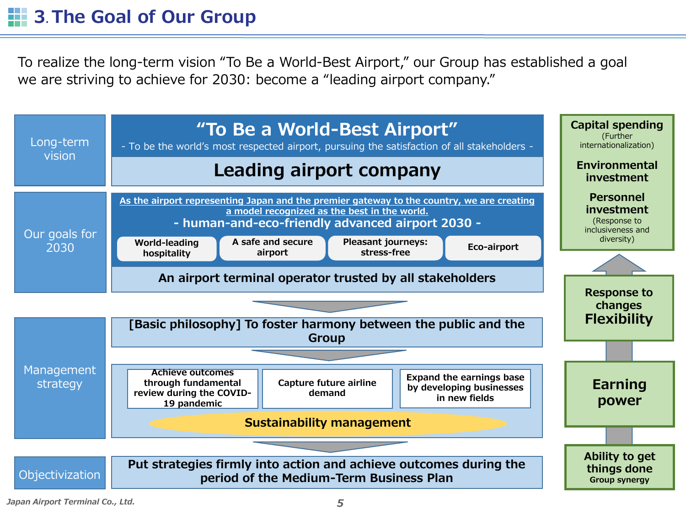## **12** 3. The Goal of Our Group

To realize the long-term vision "To Be a World-Best Airport," our Group has established a goal we are striving to achieve for 2030: become a "leading airport company."

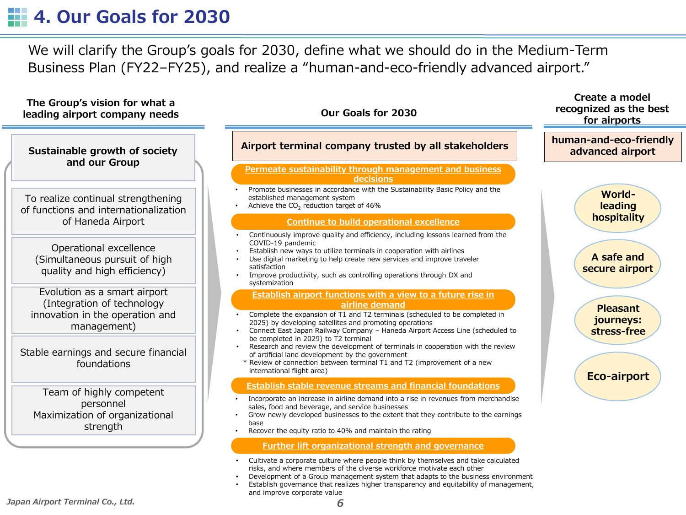## **4. Our Goals for 2030**

We will clarify the Group's goals for 2030, define what we should do in the Medium-Term Business Plan (FY22–FY25), and realize a "human-and-eco-friendly advanced airport."

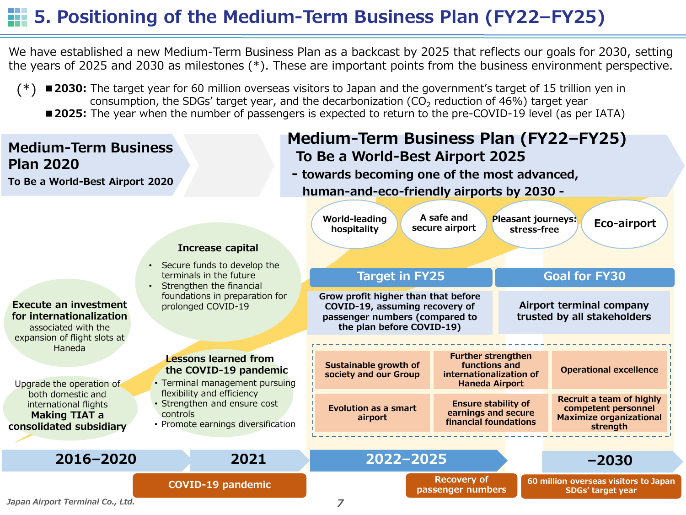## **5. Positioning of the Medium-Term Business Plan (FY22–FY25)**

We have established a new Medium-Term Business Plan as a backcast by 2025 that reflects our goals for 2030, setting the years of 2025 and 2030 as milestones (\*). These are important points from the business environment perspective.

■**2030:** The target year for 60 million overseas visitors to Japan and the government's target of 15 trillion yen in consumption, the SDGs' target year, and the decarbonization (CO<sub>2</sub> reduction of 46%) target year ■**2025:** The year when the number of passengers is expected to return to the pre-COVID-19 level (as per IATA) (\*)

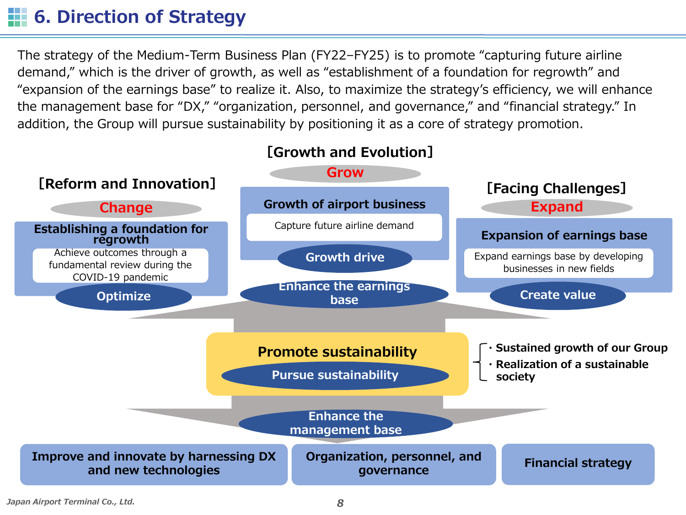## **1. 6. Direction of Strategy**

The strategy of the Medium-Term Business Plan (FY22–FY25) is to promote "capturing future airline demand," which is the driver of growth, as well as "establishment of a foundation for regrowth" and "expansion of the earnings base" to realize it. Also, to maximize the strategy's efficiency, we will enhance the management base for "DX," "organization, personnel, and governance," and "financial strategy." In addition, the Group will pursue sustainability by positioning it as a core of strategy promotion.

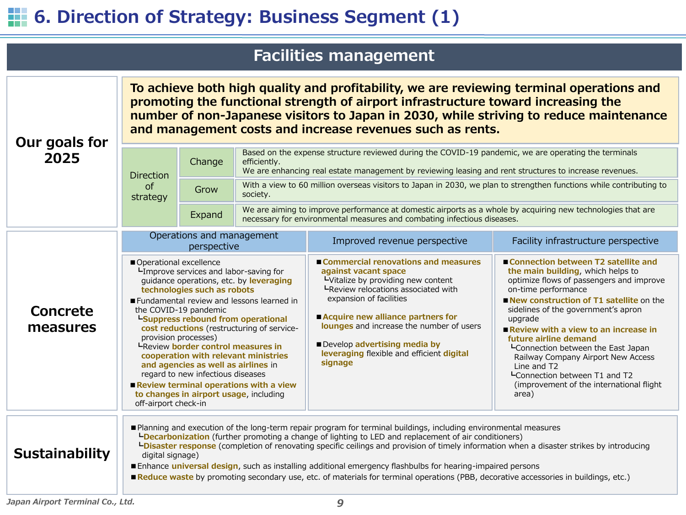# **6. Direction of Strategy: Business Segment (1)**

## **Facilities management**

| Our goals for                             | To achieve both high quality and profitability, we are reviewing terminal operations and<br>promoting the functional strength of airport infrastructure toward increasing the<br>number of non-Japanese visitors to Japan in 2030, while striving to reduce maintenance<br>and management costs and increase revenues such as rents.                                                                                                                                                                                                                                                                           |                                                                                                                                                                                                                                                                                                                                                                                                                                                                                                                                                                                                                                        |                                                                                                                                                                                        |                                                                                                                                                                                                                                                                                                                                                |                                                                                                                                                                                                                                                                                                                                                                                                                                                                                                                  |  |  |  |
|-------------------------------------------|----------------------------------------------------------------------------------------------------------------------------------------------------------------------------------------------------------------------------------------------------------------------------------------------------------------------------------------------------------------------------------------------------------------------------------------------------------------------------------------------------------------------------------------------------------------------------------------------------------------|----------------------------------------------------------------------------------------------------------------------------------------------------------------------------------------------------------------------------------------------------------------------------------------------------------------------------------------------------------------------------------------------------------------------------------------------------------------------------------------------------------------------------------------------------------------------------------------------------------------------------------------|----------------------------------------------------------------------------------------------------------------------------------------------------------------------------------------|------------------------------------------------------------------------------------------------------------------------------------------------------------------------------------------------------------------------------------------------------------------------------------------------------------------------------------------------|------------------------------------------------------------------------------------------------------------------------------------------------------------------------------------------------------------------------------------------------------------------------------------------------------------------------------------------------------------------------------------------------------------------------------------------------------------------------------------------------------------------|--|--|--|
| 2025                                      | Based on the expense structure reviewed during the COVID-19 pandemic, we are operating the terminals<br>Change<br>efficiently.<br>We are enhancing real estate management by reviewing leasing and rent structures to increase revenues.<br><b>Direction</b>                                                                                                                                                                                                                                                                                                                                                   |                                                                                                                                                                                                                                                                                                                                                                                                                                                                                                                                                                                                                                        |                                                                                                                                                                                        |                                                                                                                                                                                                                                                                                                                                                |                                                                                                                                                                                                                                                                                                                                                                                                                                                                                                                  |  |  |  |
|                                           | <b>of</b><br>strategy                                                                                                                                                                                                                                                                                                                                                                                                                                                                                                                                                                                          | Grow                                                                                                                                                                                                                                                                                                                                                                                                                                                                                                                                                                                                                                   | society.                                                                                                                                                                               | With a view to 60 million overseas visitors to Japan in 2030, we plan to strengthen functions while contributing to                                                                                                                                                                                                                            |                                                                                                                                                                                                                                                                                                                                                                                                                                                                                                                  |  |  |  |
|                                           |                                                                                                                                                                                                                                                                                                                                                                                                                                                                                                                                                                                                                | Expand                                                                                                                                                                                                                                                                                                                                                                                                                                                                                                                                                                                                                                 | We are aiming to improve performance at domestic airports as a whole by acquiring new technologies that are<br>necessary for environmental measures and combating infectious diseases. |                                                                                                                                                                                                                                                                                                                                                |                                                                                                                                                                                                                                                                                                                                                                                                                                                                                                                  |  |  |  |
|                                           | Operations and management<br>perspective                                                                                                                                                                                                                                                                                                                                                                                                                                                                                                                                                                       |                                                                                                                                                                                                                                                                                                                                                                                                                                                                                                                                                                                                                                        |                                                                                                                                                                                        | Improved revenue perspective                                                                                                                                                                                                                                                                                                                   | Facility infrastructure perspective                                                                                                                                                                                                                                                                                                                                                                                                                                                                              |  |  |  |
| Concrete<br>measures                      | Operational excellence<br>LImprove services and labor-saving for<br>guidance operations, etc. by leveraging<br>technologies such as robots<br>Fundamental review and lessons learned in<br>the COVID-19 pandemic<br><sup>L</sup> Suppress rebound from operational<br>cost reductions (restructuring of service-<br>provision processes)<br>LReview border control measures in<br>cooperation with relevant ministries<br>and agencies as well as airlines in<br>regard to new infectious diseases<br>Review terminal operations with a view<br>to changes in airport usage, including<br>off-airport check-in |                                                                                                                                                                                                                                                                                                                                                                                                                                                                                                                                                                                                                                        |                                                                                                                                                                                        | ■ Commercial renovations and measures<br>against vacant space<br>LVitalize by providing new content<br>LReview relocations associated with<br>expansion of facilities<br>Acquire new alliance partners for<br>lounges and increase the number of users<br>Develop advertising media by<br>leveraging flexible and efficient digital<br>signage | ■ Connection between T2 satellite and<br>the main building, which helps to<br>optimize flows of passengers and improve<br>on-time performance<br>New construction of T1 satellite on the<br>sidelines of the government's apron<br>upgrade<br>Review with a view to an increase in<br>future airline demand<br><b>L</b> Connection between the East Japan<br>Railway Company Airport New Access<br>Line and T <sub>2</sub><br>LConnection between T1 and T2<br>(improvement of the international flight<br>area) |  |  |  |
| <b>Sustainability</b><br>digital signage) |                                                                                                                                                                                                                                                                                                                                                                                                                                                                                                                                                                                                                | Planning and execution of the long-term repair program for terminal buildings, including environmental measures<br><b>LDecarbonization</b> (further promoting a change of lighting to LED and replacement of air conditioners)<br><b>LDisaster response</b> (completion of renovating specific ceilings and provision of timely information when a disaster strikes by introducing<br>Enhance universal design, such as installing additional emergency flashbulbs for hearing-impaired persons<br>Reduce waste by promoting secondary use, etc. of materials for terminal operations (PBB, decorative accessories in buildings, etc.) |                                                                                                                                                                                        |                                                                                                                                                                                                                                                                                                                                                |                                                                                                                                                                                                                                                                                                                                                                                                                                                                                                                  |  |  |  |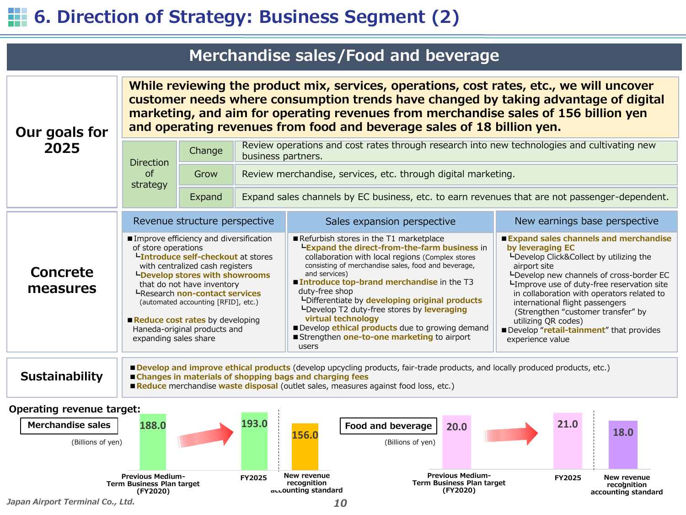## **6. Direction of Strategy: Business Segment (2)**

|                       |                                                                                                                                                                                                                                                                                                                                                                                                   |        |                                                                                                                   | Merchandise sales/Food and beverage                                                                                                                                                                                                                                                                                                                                                                                                                                                                                                                                                                                                                                                                                                                                                                                                                                                                                                                  |                               |  |  |  |  |  |
|-----------------------|---------------------------------------------------------------------------------------------------------------------------------------------------------------------------------------------------------------------------------------------------------------------------------------------------------------------------------------------------------------------------------------------------|--------|-------------------------------------------------------------------------------------------------------------------|------------------------------------------------------------------------------------------------------------------------------------------------------------------------------------------------------------------------------------------------------------------------------------------------------------------------------------------------------------------------------------------------------------------------------------------------------------------------------------------------------------------------------------------------------------------------------------------------------------------------------------------------------------------------------------------------------------------------------------------------------------------------------------------------------------------------------------------------------------------------------------------------------------------------------------------------------|-------------------------------|--|--|--|--|--|
| Our goals for         | While reviewing the product mix, services, operations, cost rates, etc., we will uncover<br>customer needs where consumption trends have changed by taking advantage of digital<br>marketing, and aim for operating revenues from merchandise sales of 156 billion yen<br>and operating revenues from food and beverage sales of 18 billion yen.                                                  |        |                                                                                                                   |                                                                                                                                                                                                                                                                                                                                                                                                                                                                                                                                                                                                                                                                                                                                                                                                                                                                                                                                                      |                               |  |  |  |  |  |
| 2025                  | <b>Direction</b>                                                                                                                                                                                                                                                                                                                                                                                  | Change | Review operations and cost rates through research into new technologies and cultivating new<br>business partners. |                                                                                                                                                                                                                                                                                                                                                                                                                                                                                                                                                                                                                                                                                                                                                                                                                                                                                                                                                      |                               |  |  |  |  |  |
|                       | <sub>of</sub><br>strategy                                                                                                                                                                                                                                                                                                                                                                         | Grow   | Review merchandise, services, etc. through digital marketing.                                                     |                                                                                                                                                                                                                                                                                                                                                                                                                                                                                                                                                                                                                                                                                                                                                                                                                                                                                                                                                      |                               |  |  |  |  |  |
|                       |                                                                                                                                                                                                                                                                                                                                                                                                   | Expand | Expand sales channels by EC business, etc. to earn revenues that are not passenger-dependent.                     |                                                                                                                                                                                                                                                                                                                                                                                                                                                                                                                                                                                                                                                                                                                                                                                                                                                                                                                                                      |                               |  |  |  |  |  |
|                       | Revenue structure perspective                                                                                                                                                                                                                                                                                                                                                                     |        |                                                                                                                   | Sales expansion perspective                                                                                                                                                                                                                                                                                                                                                                                                                                                                                                                                                                                                                                                                                                                                                                                                                                                                                                                          | New earnings base perspective |  |  |  |  |  |
| Concrete<br>measures  | Improve efficiency and diversification<br>of store operations<br><b>LIntroduce self-checkout at stores</b><br>with centralized cash registers<br><b>LDevelop stores with showrooms</b><br>that do not have inventory<br><b>L</b> Research non-contact services<br>(automated accounting [RFID], etc.)<br>Reduce cost rates by developing<br>Haneda-original products and<br>expanding sales share |        |                                                                                                                   | Refurbish stores in the T1 marketplace<br>■ Expand sales channels and merchandise<br>LExpand the direct-from-the-farm business in<br>by leveraging EC<br>collaboration with local regions (Complex stores<br>LDevelop Click&Collect by utilizing the<br>consisting of merchandise sales, food and beverage,<br>airport site<br>and services)<br>-Develop new channels of cross-border EC<br>■ Introduce top-brand merchandise in the T3<br>LImprove use of duty-free reservation site<br>duty-free shop<br>in collaboration with operators related to<br>Uplifferentiate by developing original products<br>international flight passengers<br>LDevelop T2 duty-free stores by leveraging<br>(Strengthen "customer transfer" by<br>virtual technology<br>utilizing QR codes)<br>Develop ethical products due to growing demand<br>Develop "retail-tainment" that provides<br>Strengthen one-to-one marketing to airport<br>experience value<br>users |                               |  |  |  |  |  |
| <b>Sustainability</b> |                                                                                                                                                                                                                                                                                                                                                                                                   |        |                                                                                                                   | Develop and improve ethical products (develop upcycling products, fair-trade products, and locally produced products, etc.)<br>■ Changes in materials of shopping bags and charging fees                                                                                                                                                                                                                                                                                                                                                                                                                                                                                                                                                                                                                                                                                                                                                             |                               |  |  |  |  |  |

**Operating revenue target:**



■ Reduce merchandise waste disposal (outlet sales, measures against food loss, etc.)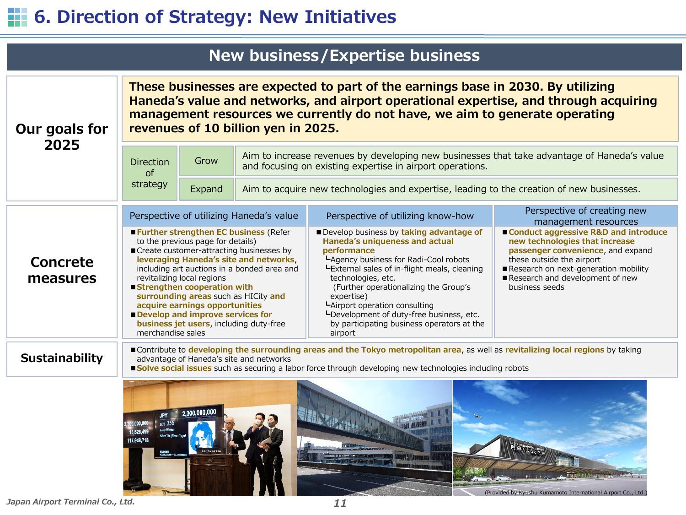# **1. 6. Direction of Strategy: New Initiatives**

|                       |                                         |                                                                                                                                                                                                                                                           |                                                                                                                                                                                            | <b>New business/Expertise business</b>                                                                                                                                                                                                                                                                                                                                                               |                                                                                                                                                                                                                                         |  |  |  |  |
|-----------------------|-----------------------------------------|-----------------------------------------------------------------------------------------------------------------------------------------------------------------------------------------------------------------------------------------------------------|--------------------------------------------------------------------------------------------------------------------------------------------------------------------------------------------|------------------------------------------------------------------------------------------------------------------------------------------------------------------------------------------------------------------------------------------------------------------------------------------------------------------------------------------------------------------------------------------------------|-----------------------------------------------------------------------------------------------------------------------------------------------------------------------------------------------------------------------------------------|--|--|--|--|
| Our goals for         |                                         |                                                                                                                                                                                                                                                           | revenues of 10 billion yen in 2025.                                                                                                                                                        | These businesses are expected to part of the earnings base in 2030. By utilizing<br>Haneda's value and networks, and airport operational expertise, and through acquiring<br>management resources we currently do not have, we aim to generate operating                                                                                                                                             |                                                                                                                                                                                                                                         |  |  |  |  |
| 2025                  | <b>Direction</b><br>$\sigma$ f          | Grow                                                                                                                                                                                                                                                      |                                                                                                                                                                                            | Aim to increase revenues by developing new businesses that take advantage of Haneda's value<br>and focusing on existing expertise in airport operations.                                                                                                                                                                                                                                             |                                                                                                                                                                                                                                         |  |  |  |  |
|                       | strategy                                | Expand                                                                                                                                                                                                                                                    |                                                                                                                                                                                            | Aim to acquire new technologies and expertise, leading to the creation of new businesses.                                                                                                                                                                                                                                                                                                            |                                                                                                                                                                                                                                         |  |  |  |  |
|                       | Perspective of utilizing Haneda's value |                                                                                                                                                                                                                                                           |                                                                                                                                                                                            | Perspective of utilizing know-how                                                                                                                                                                                                                                                                                                                                                                    | Perspective of creating new<br>management resources                                                                                                                                                                                     |  |  |  |  |
| Concrete<br>measures  | merchandise sales                       | to the previous page for details)<br>revitalizing local regions<br>■ Strengthen cooperation with<br>surrounding areas such as HICity and<br>acquire earnings opportunities<br>Develop and improve services for<br>business jet users, including duty-free | <b>Example:</b> Further strengthen EC business (Refer<br>Create customer-attracting businesses by<br>leveraging Haneda's site and networks,<br>including art auctions in a bonded area and | Develop business by taking advantage of<br>Haneda's uniqueness and actual<br>performance<br>LAgency business for Radi-Cool robots<br>LExternal sales of in-flight meals, cleaning<br>technologies, etc.<br>(Further operationalizing the Group's<br>expertise)<br>LAirport operation consulting<br>LDevelopment of duty-free business, etc.<br>by participating business operators at the<br>airport | ■ Conduct aggressive R&D and introduce<br>new technologies that increase<br>passenger convenience, and expand<br>these outside the airport<br>Research on next-generation mobility<br>Research and development of new<br>business seeds |  |  |  |  |
| <b>Sustainability</b> |                                         |                                                                                                                                                                                                                                                           | advantage of Haneda's site and networks                                                                                                                                                    | Contribute to developing the surrounding areas and the Tokyo metropolitan area, as well as revitalizing local regions by taking<br><b>Solve social issues</b> such as securing a labor force through developing new technologies including robots                                                                                                                                                    |                                                                                                                                                                                                                                         |  |  |  |  |
|                       |                                         | 2.300.000,0                                                                                                                                                                                                                                               |                                                                                                                                                                                            |                                                                                                                                                                                                                                                                                                                                                                                                      |                                                                                                                                                                                                                                         |  |  |  |  |

*Japan Airport Terminal Co., Ltd. 11*

(Provided by Kyushu Kumamoto International Airport Co., Ltd.)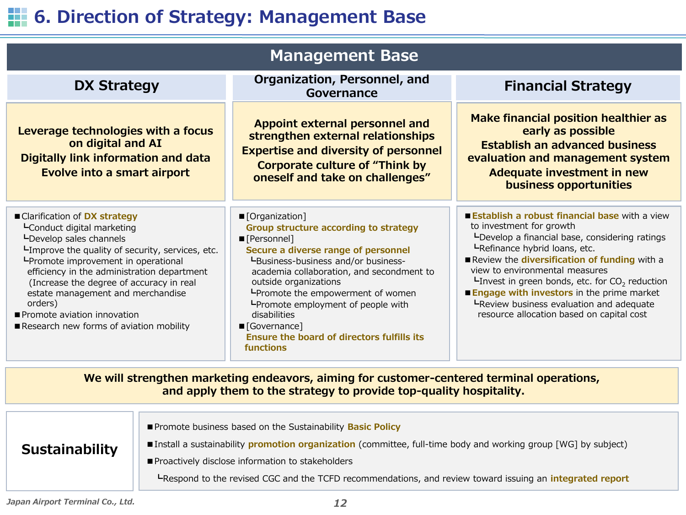## **6. Direction of Strategy: Management Base**

| <b>Management Base</b>                                                                                                                                                                                                                                                                                                                                                                                  |                                                                                                                                                                                                                                                                                                                                                                                                                                      |                                                                                                                                                                                                                                                                                                                                                                                                                                                                 |  |  |  |  |  |  |  |
|---------------------------------------------------------------------------------------------------------------------------------------------------------------------------------------------------------------------------------------------------------------------------------------------------------------------------------------------------------------------------------------------------------|--------------------------------------------------------------------------------------------------------------------------------------------------------------------------------------------------------------------------------------------------------------------------------------------------------------------------------------------------------------------------------------------------------------------------------------|-----------------------------------------------------------------------------------------------------------------------------------------------------------------------------------------------------------------------------------------------------------------------------------------------------------------------------------------------------------------------------------------------------------------------------------------------------------------|--|--|--|--|--|--|--|
| <b>DX Strategy</b>                                                                                                                                                                                                                                                                                                                                                                                      | Organization, Personnel, and<br>Governance                                                                                                                                                                                                                                                                                                                                                                                           | <b>Financial Strategy</b>                                                                                                                                                                                                                                                                                                                                                                                                                                       |  |  |  |  |  |  |  |
| Leverage technologies with a focus<br>on digital and AI<br><b>Digitally link information and data</b><br><b>Evolve into a smart airport</b>                                                                                                                                                                                                                                                             | Appoint external personnel and<br>strengthen external relationships<br><b>Expertise and diversity of personnel</b><br><b>Corporate culture of "Think by</b><br>oneself and take on challenges"                                                                                                                                                                                                                                       | Make financial position healthier as<br>early as possible<br><b>Establish an advanced business</b><br>evaluation and management system<br><b>Adequate investment in new</b><br>business opportunities                                                                                                                                                                                                                                                           |  |  |  |  |  |  |  |
| ■ Clarification of DX strategy<br>LConduct digital marketing<br>LDevelop sales channels<br>LImprove the quality of security, services, etc.<br>LPromote improvement in operational<br>efficiency in the administration department<br>(Increase the degree of accuracy in real<br>estate management and merchandise<br>orders)<br>Promote aviation innovation<br>Research new forms of aviation mobility | ■ [Organization]<br>Group structure according to strategy<br>■ [Personnel]<br>Secure a diverse range of personnel<br>LBusiness-business and/or business-<br>academia collaboration, and secondment to<br>outside organizations<br><b>L</b> Promote the empowerment of women<br><b>L</b> Promote employment of people with<br>disabilities<br>■ [Governance]<br><b>Ensure the board of directors fulfills its</b><br><b>functions</b> | <b>Establish a robust financial base with a view</b><br>to investment for growth<br>L-Develop a financial base, considering ratings<br>LRefinance hybrid loans, etc.<br>Review the diversification of funding with a<br>view to environmental measures<br><b>L</b> Invest in green bonds, etc. for $CO2$ reduction<br><b>Engage with investors in the prime market</b><br>LReview business evaluation and adequate<br>resource allocation based on capital cost |  |  |  |  |  |  |  |
| We will strengthen marketing endeavors, aiming for customer-centered terminal operations,<br>and apply them to the strategy to provide top-quality hospitality.                                                                                                                                                                                                                                         |                                                                                                                                                                                                                                                                                                                                                                                                                                      |                                                                                                                                                                                                                                                                                                                                                                                                                                                                 |  |  |  |  |  |  |  |

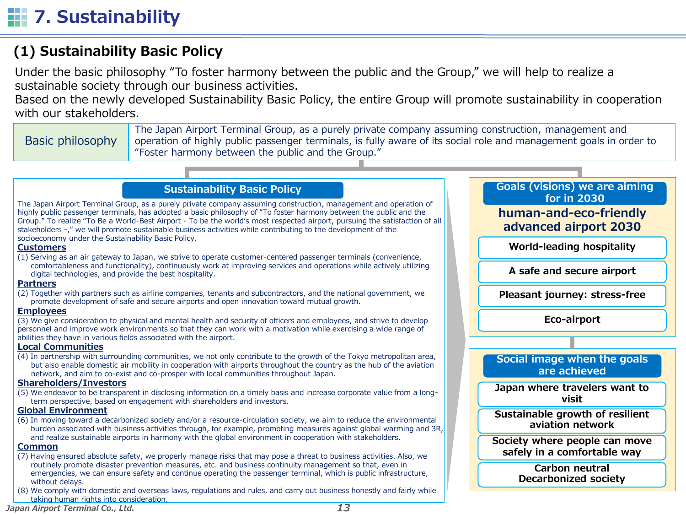## **(1) Sustainability Basic Policy**

Under the basic philosophy "To foster harmony between the public and the Group," we will help to realize a sustainable society through our business activities.

Based on the newly developed Sustainability Basic Policy, the entire Group will promote sustainability in cooperation with our stakeholders.

Basic philosophy The Japan Airport Terminal Group, as a purely private company assuming construction, management and operation of highly public passenger terminals, is fully aware of its social role and management goals in order to "Foster harmony between the public and the Group."

> **human-and-eco-friendly advanced airport 2030**

**for in 2030**

**World-leading hospitality**

**A safe and secure airport**

**Pleasant journey: stress-free** 

**Eco-airport**

**Social image when the goals are achieved Japan where travelers want to visit Sustainable growth of resilient aviation network Society where people can move safely in a comfortable way Carbon neutral Decarbonized society**

### **Sustainability Basic Policy Goals (visions)** we are aiming

The Japan Airport Terminal Group, as a purely private company assuming construction, management and operation of highly public passenger terminals, has adopted a basic philosophy of "To foster harmony between the public and the Group." To realize "To Be a World-Best Airport - To be the world's most respected airport, pursuing the satisfaction of all stakeholders -," we will promote sustainable business activities while contributing to the development of the socioeconomy under the Sustainability Basic Policy.

#### **Customers**

(1) Serving as an air gateway to Japan, we strive to operate customer-centered passenger terminals (convenience, comfortableness and functionality), continuously work at improving services and operations while actively utilizing digital technologies, and provide the best hospitality.

#### **Partners**

(2) Together with partners such as airline companies, tenants and subcontractors, and the national government, we promote development of safe and secure airports and open innovation toward mutual growth.

#### **Employees**

(3) We give consideration to physical and mental health and security of officers and employees, and strive to develop personnel and improve work environments so that they can work with a motivation while exercising a wide range of abilities they have in various fields associated with the airport.

### **Local Communities**

(4) In partnership with surrounding communities, we not only contribute to the growth of the Tokyo metropolitan area, but also enable domestic air mobility in cooperation with airports throughout the country as the hub of the aviation network, and aim to co-exist and co-prosper with local communities throughout Japan.

### **Shareholders/Investors**

(5) We endeavor to be transparent in disclosing information on a timely basis and increase corporate value from a longterm perspective, based on engagement with shareholders and investors.

### **Global Environment**

(6) In moving toward a decarbonized society and/or a resource-circulation society, we aim to reduce the environmental burden associated with business activities through, for example, promoting measures against global warming and 3R, and realize sustainable airports in harmony with the global environment in cooperation with stakeholders.

#### **Common**

- (7) Having ensured absolute safety, we properly manage risks that may pose a threat to business activities. Also, we routinely promote disaster prevention measures, etc. and business continuity management so that, even in emergencies, we can ensure safety and continue operating the passenger terminal, which is public infrastructure, without delays.
- (8) We comply with domestic and overseas laws, regulations and rules, and carry out business honestly and fairly while taking human rights into consideration.

*Japan Airport Terminal Co., Ltd. 13*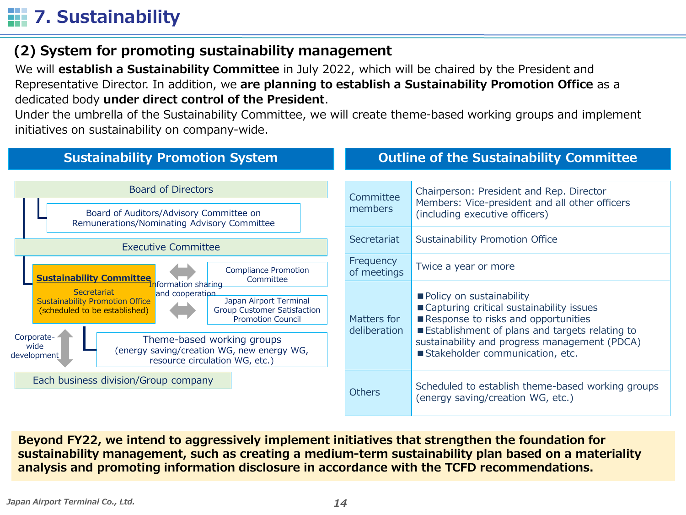# **7. Sustainability**

## **(2) System for promoting sustainability management**

We will **establish a Sustainability Committee** in July 2022, which will be chaired by the President and Representative Director. In addition, we **are planning to establish a Sustainability Promotion Office** as a dedicated body **under direct control of the President**.

Under the umbrella of the Sustainability Committee, we will create theme-based working groups and implement initiatives on sustainability on company-wide.



**Beyond FY22, we intend to aggressively implement initiatives that strengthen the foundation for sustainability management, such as creating a medium-term sustainability plan based on a materiality analysis and promoting information disclosure in accordance with the TCFD recommendations.**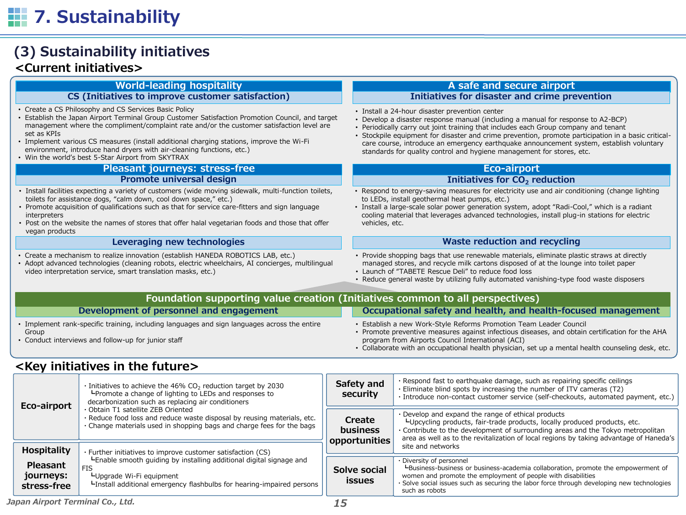### **(3) Sustainability initiatives <Current initiatives>**

#### **CS (Initiatives to improve customer satisfaction)**

- Create a CS Philosophy and CS Services Basic Policy
- Establish the Japan Airport Terminal Group Customer Satisfaction Promotion Council, and target management where the compliment/complaint rate and/or the customer satisfaction level are set as KPIs
- Implement various CS measures (install additional charging stations, improve the Wi-Fi environment, introduce hand dryers with air-cleaning functions, etc.)
- Win the world's best 5-Star Airport from SKYTRAX

### **Pleasant journeys: stress-free Eco-airport** Eco-airport

### **Promote universal design**

- Install facilities expecting a variety of customers (wide moving sidewalk, multi-function toilets, toilets for assistance dogs, "calm down, cool down space," etc.)
- Promote acquisition of qualifications such as that for service care-fitters and sign language interpreters
- Post on the website the names of stores that offer halal vegetarian foods and those that offer vegan products

#### **Leveraging new technologies**

- Create a mechanism to realize innovation (establish HANEDA ROBOTICS LAB, etc.)
- Adopt advanced technologies (cleaning robots, electric wheelchairs, AI concierges, multilingual video interpretation service, smart translation masks, etc.)

#### **World-leading hospitality and secure airport A safe and secure airport Initiatives for disaster and crime prevention**

- Install a 24-hour disaster prevention center
- Develop a disaster response manual (including a manual for response to A2-BCP)
- Periodically carry out joint training that includes each Group company and tenant
- Stockpile equipment for disaster and crime prevention, promote participation in a basic criticalcare course, introduce an emergency earthquake announcement system, establish voluntary standards for quality control and hygiene management for stores, etc.

#### **Initiatives for CO<sup>2</sup> reduction**

- Respond to energy-saving measures for electricity use and air conditioning (change lighting to LEDs, install geothermal heat pumps, etc.)
- Install a large-scale solar power generation system, adopt "Radi-Cool," which is a radiant cooling material that leverages advanced technologies, install plug-in stations for electric vehicles, etc.

#### **Waste reduction and recycling**

- Provide shopping bags that use renewable materials, eliminate plastic straws at directly managed stores, and recycle milk cartons disposed of at the lounge into toilet paper
- Launch of "TABETE Rescue Deli" to reduce food loss
- Reduce general waste by utilizing fully automated vanishing-type food waste disposers

| <b>Foundation supporting value creation (Initiatives common to all perspectives)</b>                                                                         |                                                                                                                                                                                                                                                                                                                                 |  |  |  |  |  |  |
|--------------------------------------------------------------------------------------------------------------------------------------------------------------|---------------------------------------------------------------------------------------------------------------------------------------------------------------------------------------------------------------------------------------------------------------------------------------------------------------------------------|--|--|--|--|--|--|
| Development of personnel and engagement                                                                                                                      | Occupational safety and health, and health-focused management                                                                                                                                                                                                                                                                   |  |  |  |  |  |  |
| • Implement rank-specific training, including languages and sign languages across the entire<br>Group<br>• Conduct interviews and follow-up for junior staff | • Establish a new Work-Style Reforms Promotion Team Leader Council<br>· Promote preventive measures against infectious diseases, and obtain certification for the AHA<br>program from Airports Council International (ACI)<br>• Collaborate with an occupational health physician, set up a mental health counseling desk, etc. |  |  |  |  |  |  |

### **<Key initiatives in the future>**

| Eco-airport                                 | $\cdot$ Initiatives to achieve the 46% CO <sub>2</sub> reduction target by 2030<br><b>L</b> Promote a change of lighting to LEDs and responses to<br>decarbonization such as replacing air conditioners | Safety and<br>security              | . Respond fast to earthquake damage, such as repairing specific ceilings<br>. Eliminate blind spots by increasing the number of ITV cameras (T2)<br>· Introduce non-contact customer service (self-checkouts, automated payment, etc.)                                                                       |  |  |
|---------------------------------------------|---------------------------------------------------------------------------------------------------------------------------------------------------------------------------------------------------------|-------------------------------------|--------------------------------------------------------------------------------------------------------------------------------------------------------------------------------------------------------------------------------------------------------------------------------------------------------------|--|--|
|                                             | · Obtain T1 satellite ZEB Oriented<br>. Reduce food loss and reduce waste disposal by reusing materials, etc.<br>. Change materials used in shopping bags and charge fees for the bags                  | Create<br>business<br>opportunities | . Develop and expand the range of ethical products<br>LUpcycling products, fair-trade products, locally produced products, etc.<br>. Contribute to the development of surrounding areas and the Tokyo metropolitan<br>area as well as to the revitalization of local regions by taking advantage of Haneda's |  |  |
| <b>Hospitality</b>                          | · Further initiatives to improve customer satisfaction (CS)                                                                                                                                             |                                     | site and networks                                                                                                                                                                                                                                                                                            |  |  |
| <b>Pleasant</b><br>journeys:<br>stress-free | -Enable smooth quiding by installing additional digital signage and<br><b>FIS</b><br>LUpgrade Wi-Fi equipment<br>Linstall additional emergency flashbulbs for hearing-impaired persons                  | Solve social<br><b>issues</b>       | . Diversity of personnel<br>L-Business-business or business-academia collaboration, promote the empowerment of<br>women and promote the employment of people with disabilities<br>· Solve social issues such as securing the labor force through developing new technologies<br>such as robots               |  |  |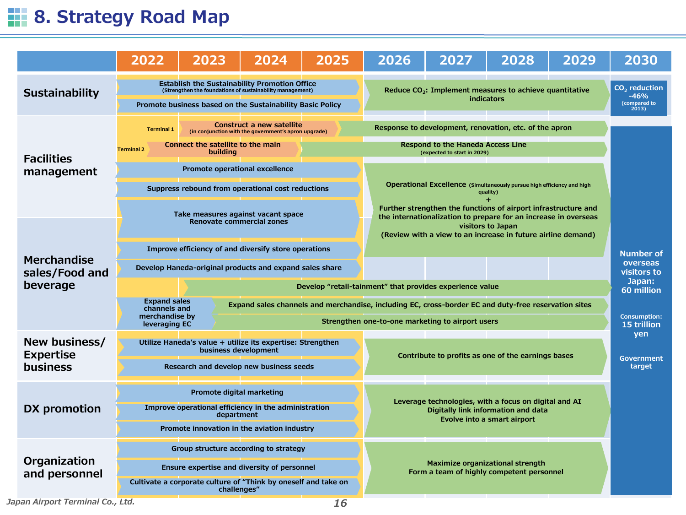# **8. Strategy Road Map**

|                                                                   | 2022                                                                                                                                                                        | 2023                                                                                   | 2024                                                                                                                                                                           | 2025 | 2026                                                                                                                                                                                                                                                                                                                                                         | 2027                                                                    | 2028                                                                                                                        | 2029 | 2030                                               |
|-------------------------------------------------------------------|-----------------------------------------------------------------------------------------------------------------------------------------------------------------------------|----------------------------------------------------------------------------------------|--------------------------------------------------------------------------------------------------------------------------------------------------------------------------------|------|--------------------------------------------------------------------------------------------------------------------------------------------------------------------------------------------------------------------------------------------------------------------------------------------------------------------------------------------------------------|-------------------------------------------------------------------------|-----------------------------------------------------------------------------------------------------------------------------|------|----------------------------------------------------|
| Sustainability                                                    |                                                                                                                                                                             |                                                                                        | <b>Establish the Sustainability Promotion Office</b><br>(Strengthen the foundations of sustainability management)<br>Promote business based on the Sustainability Basic Policy |      |                                                                                                                                                                                                                                                                                                                                                              | Reduce $CO2$ : Implement measures to achieve quantitative<br>indicators |                                                                                                                             |      | $CO2$ reduction<br>$-46%$<br>(compared to<br>2013) |
| <b>Facilities</b><br>management                                   | <b>Terminal 1</b><br><b>Terminal 2</b>                                                                                                                                      | Connect the satellite to the main<br>building<br><b>Promote operational excellence</b> | Construct a new satellite<br>(in conjunction with the government's apron upgrade)<br>Suppress rebound from operational cost reductions<br>Take measures against vacant space   |      | Response to development, renovation, etc. of the apron<br><b>Respond to the Haneda Access Line</b><br>(expected to start in 2029)<br>Operational Excellence (Simultaneously pursue high efficiency and high<br>quality)<br>Further strengthen the functions of airport infrastructure and<br>the internationalization to prepare for an increase in overseas |                                                                         |                                                                                                                             |      |                                                    |
| Merchandise<br>sales/Food and<br>beverage                         | <b>Expand sales</b><br>channels and<br>merchandise by<br>leveraging EC                                                                                                      | <b>Renovate commercial zones</b>                                                       | Improve efficiency of and diversify store operations<br>Develop Haneda-original products and expand sales share                                                                |      | Develop "retail-tainment" that provides experience value<br>Expand sales channels and merchandise, including EC, cross-border EC and duty-free reservation sites<br>Strengthen one-to-one marketing to airport users                                                                                                                                         | (Review with a view to an increase in future airline demand)            | <b>Number of</b><br>overseas<br>visitors to<br>Japan:<br>60 million<br><b>Consumption:</b><br>15 trillion                   |      |                                                    |
| New business/<br><b>Expertise</b><br><b>business</b>              |                                                                                                                                                                             | business development                                                                   | Utilize Haneda's value + utilize its expertise: Strengthen<br>Research and develop new business seeds                                                                          |      |                                                                                                                                                                                                                                                                                                                                                              |                                                                         | Contribute to profits as one of the earnings bases                                                                          |      | yen<br><b>Government</b><br>target                 |
| <b>DX</b> promotion                                               |                                                                                                                                                                             | Promote digital marketing<br>department                                                | Improve operational efficiency in the administration<br>Promote innovation in the aviation industry                                                                            |      |                                                                                                                                                                                                                                                                                                                                                              |                                                                         | Leverage technologies, with a focus on digital and AI<br>Digitally link information and data<br>Evolve into a smart airport |      |                                                    |
| Organization<br>and personnel<br>Japan Airport Terminal Co., Ltd. | Group structure according to strategy<br>Ensure expertise and diversity of personnel<br>Cultivate a corporate culture of "Think by oneself and take on<br>challenges"<br>16 |                                                                                        |                                                                                                                                                                                |      | Maximize organizational strength<br>Form a team of highly competent personnel                                                                                                                                                                                                                                                                                |                                                                         |                                                                                                                             |      |                                                    |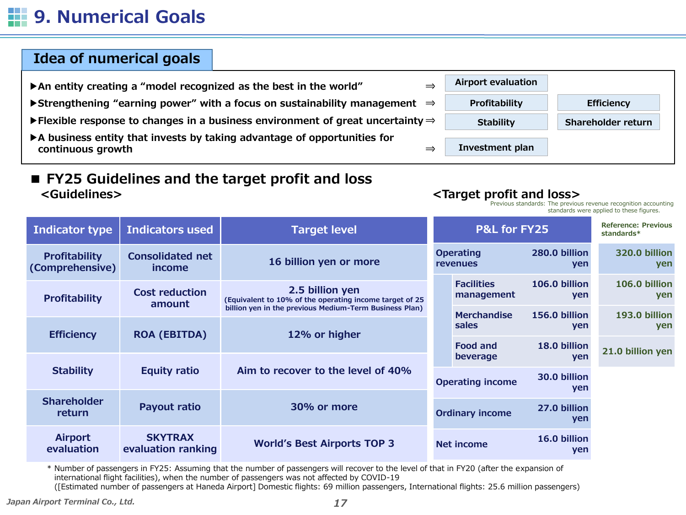## **9. Numerical Goals**

### **Idea of numerical goals**

- **▶An entity creating a "model recognized as the best in the world" ⇒**
- **▶Strengthening "earning power" with a focus on sustainability management ⇒**
- **▶Flexible response to changes in a business environment of great uncertainty ⇒**
- **▶A business entity that invests by taking advantage of opportunities for continuous growth ⇒**

### **■ FY25 Guidelines and the target profit and loss <Guidelines> <Target profit and loss>**



Previous standards: The previous revenue recognition accounting standards were applied to these figures.

| <b>Indicator type</b>                   | <b>Indicators used</b>               | <b>Target level</b>                                                                                                                  |                         | <b>P&amp;L for FY25</b>                |                      | <b>Reference: Previous</b><br>standards* |
|-----------------------------------------|--------------------------------------|--------------------------------------------------------------------------------------------------------------------------------------|-------------------------|----------------------------------------|----------------------|------------------------------------------|
| <b>Profitability</b><br>(Comprehensive) | <b>Consolidated net</b><br>income    | 16 billion yen or more                                                                                                               |                         | <b>Operating</b><br><b>revenues</b>    | 280.0 billion<br>yen | 320.0 billion<br>yen                     |
| <b>Profitability</b>                    | <b>Cost reduction</b><br>amount      | 2.5 billion yen<br>(Equivalent to 10% of the operating income target of 25<br>billion yen in the previous Medium-Term Business Plan) |                         | <b>Facilities</b><br>management        | 106.0 billion<br>yen | 106.0 billion<br>yen                     |
|                                         |                                      |                                                                                                                                      |                         | <b>Merchandise</b>                     | 156.0 billion        | 193.0 billion                            |
| <b>Efficiency</b>                       | <b>ROA (EBITDA)</b>                  | 12% or higher                                                                                                                        |                         | sales                                  | yen                  | yen                                      |
|                                         |                                      |                                                                                                                                      |                         | <b>Food and</b>                        | 18.0 billion         |                                          |
|                                         |                                      |                                                                                                                                      |                         | beverage                               | yen                  | 21.0 billion yen                         |
| <b>Stability</b>                        | <b>Equity ratio</b>                  | Aim to recover to the level of 40%                                                                                                   | <b>Operating income</b> |                                        | 30.0 billion<br>yen  |                                          |
| <b>Shareholder</b><br>return            | <b>Payout ratio</b>                  | 30% or more                                                                                                                          |                         | 27.0 billion<br><b>Ordinary income</b> |                      |                                          |
| <b>Airport</b><br>evaluation            | <b>SKYTRAX</b><br>evaluation ranking | <b>World's Best Airports TOP 3</b>                                                                                                   |                         | Net income                             | 16.0 billion<br>yen  |                                          |

\* Number of passengers in FY25: Assuming that the number of passengers will recover to the level of that in FY20 (after the expansion of international flight facilities), when the number of passengers was not affected by COVID-19 ([Estimated number of passengers at Haneda Airport] Domestic flights: 69 million passengers, International flights: 25.6 million passengers)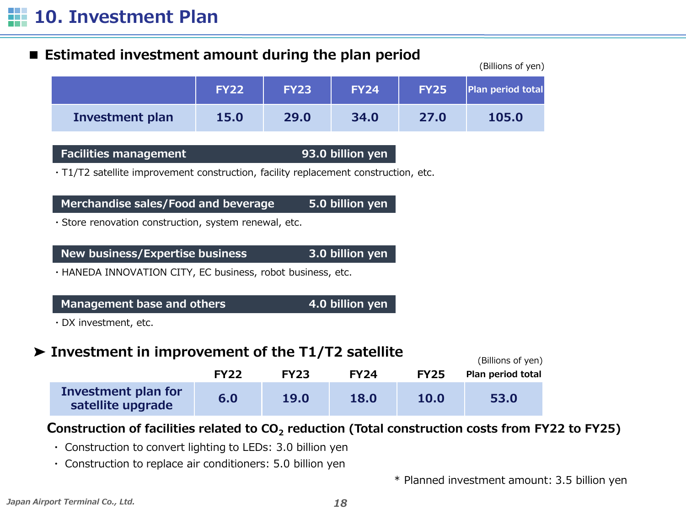### ■ **Estimated investment amount during the plan period**

|                 |             |             |             |             | , ווטיעו וט בווטוווש     |
|-----------------|-------------|-------------|-------------|-------------|--------------------------|
|                 | <b>FY22</b> | <b>FY23</b> | <b>FY24</b> | <b>FY25</b> | <b>Plan period total</b> |
| Investment plan | 15.0        | 29.0        | 34.0        | 27.0        | 105.0                    |

### **Facilities management 93.0 billion yen**

・T1/T2 satellite improvement construction, facility replacement construction, etc.

**Merchandise sales/Food and beverage 5.0 billion yen**

・Store renovation construction, system renewal, etc.

**New business/Expertise business 3.0 billion yen**

・HANEDA INNOVATION CITY, EC business, robot business, etc.

**Management base and others 4.0 billion yen**

・DX investment, etc.

## **➤ Investment in improvement of the T1/T2 satellite**

|                                          | <b>FY22</b> | <b>FY23</b> | <b>FY24</b> | <b>FY25</b> | (Billions of yen)<br>Plan period total |
|------------------------------------------|-------------|-------------|-------------|-------------|----------------------------------------|
| Investment plan for<br>satellite upgrade | 6.0         | 19.0        | 18.0        | <b>10.0</b> | 53.0                                   |

### **Construction of facilities related to CO<sup>2</sup> reduction (Total construction costs from FY22 to FY25)**

- ・ Construction to convert lighting to LEDs: 3.0 billion yen
- ・ Construction to replace air conditioners: 5.0 billion yen

\* Planned investment amount: 3.5 billion yen

 $(6.911)$  s  $(9.911)$ 

(Billions of yen)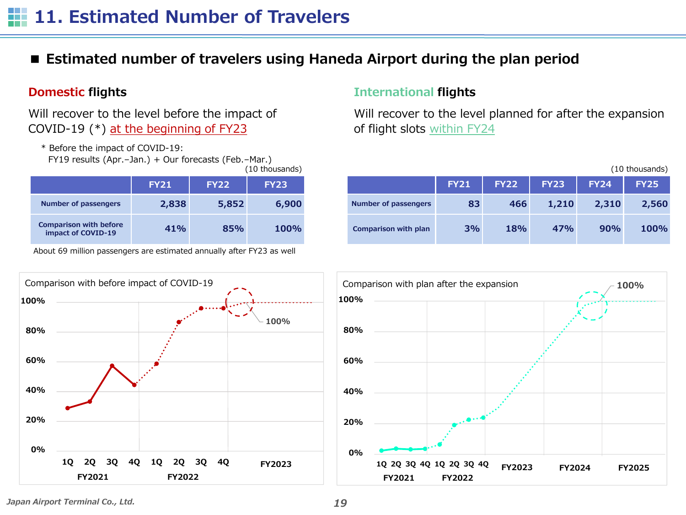## **11. Estimated Number of Travelers**

### ■ **Estimated number of travelers using Haneda Airport during the plan period**

Will recover to the level before the impact of COVID-19 (\*) at the beginning of FY23

\* Before the impact of COVID-19:

FY19 results (Apr.–Jan.) + Our forecasts (Feb.–Mar.) (10 thousands)

|                                                     |             |             | , 10 61000011007 |  |
|-----------------------------------------------------|-------------|-------------|------------------|--|
|                                                     | <b>FY21</b> | <b>FY22</b> | <b>FY23</b>      |  |
| <b>Number of passengers</b>                         | 2,838       | 5,852       | 6,900            |  |
| <b>Comparison with before</b><br>impact of COVID-19 | 41%         | 85%         | <b>100%</b>      |  |

About 69 million passengers are estimated annually after FY23 as well

### **Domestic flights International flights**

Will recover to the level planned for after the expansion of flight slots within FY24

|                             | (10 thousands) |             |             |             |             |
|-----------------------------|----------------|-------------|-------------|-------------|-------------|
|                             | <b>FY21</b>    | <b>FY22</b> | <b>FY23</b> | <b>FY24</b> | <b>FY25</b> |
| <b>Number of passengers</b> | 83             | 466         | 1,210       | 2,310       | 2,560       |
| <b>Comparison with plan</b> | 3%             | 18%         | 47%         | 90%         | 100%        |





*Japan Airport Terminal Co., Ltd. 19*